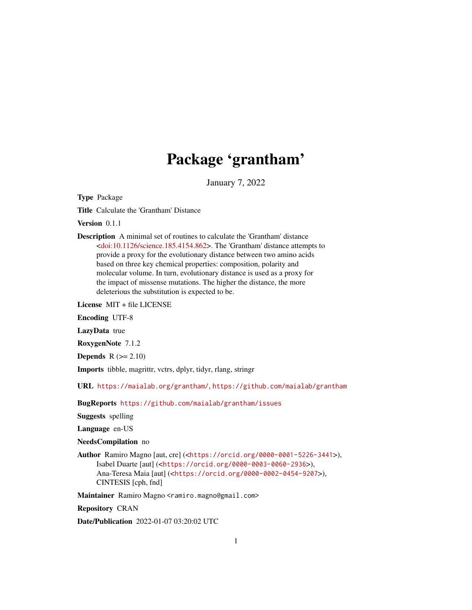# Package 'grantham'

January 7, 2022

<span id="page-0-0"></span>Type Package

Title Calculate the 'Grantham' Distance

Version 0.1.1

Description A minimal set of routines to calculate the 'Grantham' distance [<doi:10.1126/science.185.4154.862>](https://doi.org/10.1126/science.185.4154.862). The 'Grantham' distance attempts to provide a proxy for the evolutionary distance between two amino acids based on three key chemical properties: composition, polarity and molecular volume. In turn, evolutionary distance is used as a proxy for the impact of missense mutations. The higher the distance, the more deleterious the substitution is expected to be.

License MIT + file LICENSE

Encoding UTF-8

LazyData true

RoxygenNote 7.1.2

Depends  $R$  ( $>= 2.10$ )

Imports tibble, magrittr, vctrs, dplyr, tidyr, rlang, stringr

URL <https://maialab.org/grantham/>, <https://github.com/maialab/grantham>

BugReports <https://github.com/maialab/grantham/issues>

Suggests spelling

Language en-US

NeedsCompilation no

Author Ramiro Magno [aut, cre] (<<https://orcid.org/0000-0001-5226-3441>>), Isabel Duarte [aut] (<<https://orcid.org/0000-0003-0060-2936>>), Ana-Teresa Maia [aut] (<<https://orcid.org/0000-0002-0454-9207>>), CINTESIS [cph, fnd]

Maintainer Ramiro Magno <ramiro.magno@gmail.com>

Repository CRAN

Date/Publication 2022-01-07 03:20:02 UTC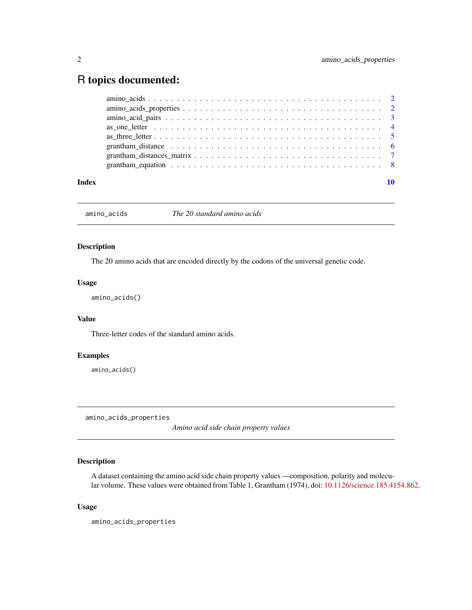# <span id="page-1-0"></span>R topics documented:

| grantham equation $\ldots \ldots \ldots \ldots \ldots \ldots \ldots \ldots \ldots \ldots \ldots \ldots$                                              |  |
|------------------------------------------------------------------------------------------------------------------------------------------------------|--|
| grantham_distance $\ldots \ldots \ldots \ldots \ldots \ldots \ldots \ldots \ldots \ldots \ldots \ldots$                                              |  |
|                                                                                                                                                      |  |
| as one letter $\ldots$ $\ldots$ $\ldots$ $\ldots$ $\ldots$ $\ldots$ $\ldots$ $\ldots$ $\ldots$ $\ldots$ $\ldots$ $\ldots$ $\ldots$ $\ldots$ $\vdots$ |  |
|                                                                                                                                                      |  |
|                                                                                                                                                      |  |
|                                                                                                                                                      |  |

amino\_acids *The 20 standard amino acids*

# Description

The 20 amino acids that are encoded directly by the codons of the universal genetic code.

#### Usage

amino\_acids()

# Value

Three-letter codes of the standard amino acids.

# Examples

amino\_acids()

<span id="page-1-1"></span>amino\_acids\_properties

*Amino acid side chain property values*

# Description

A dataset containing the amino acid side chain property values —composition, polarity and molecular volume. These values were obtained from Table 1, Grantham (1974), doi: [10.1126/science.185.4154.862.](https://doi.org/10.1126/science.185.4154.862)

# Usage

amino\_acids\_properties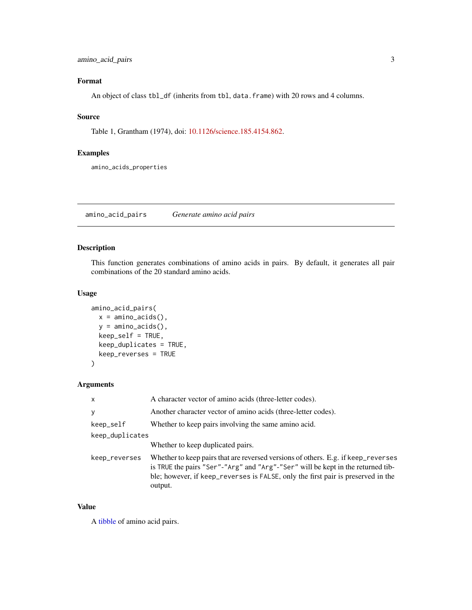# <span id="page-2-0"></span>amino\_acid\_pairs 3

# Format

An object of class tbl\_df (inherits from tbl, data.frame) with 20 rows and 4 columns.

#### Source

Table 1, Grantham (1974), doi: [10.1126/science.185.4154.862.](https://doi.org/10.1126/science.185.4154.862)

# Examples

amino\_acids\_properties

amino\_acid\_pairs *Generate amino acid pairs*

# Description

This function generates combinations of amino acids in pairs. By default, it generates all pair combinations of the 20 standard amino acids.

# Usage

```
amino_acid_pairs(
  x = \text{amino}\_ \text{acids}(),
  y = \text{amino}\_ \text{acids}(),
  keep_self = TRUE,
  keep_duplicates = TRUE,
  keep_reverses = TRUE
)
```
#### Arguments

| $\mathsf{x}$    | A character vector of amino acids (three-letter codes).                                                                                                                                                                                                             |  |  |
|-----------------|---------------------------------------------------------------------------------------------------------------------------------------------------------------------------------------------------------------------------------------------------------------------|--|--|
| y               | Another character vector of amino acids (three-letter codes).                                                                                                                                                                                                       |  |  |
| keep_self       | Whether to keep pairs involving the same amino acid.                                                                                                                                                                                                                |  |  |
| keep_duplicates |                                                                                                                                                                                                                                                                     |  |  |
|                 | Whether to keep duplicated pairs.                                                                                                                                                                                                                                   |  |  |
| keep_reverses   | Whether to keep pairs that are reversed versions of others. E.g. if keep_reverses<br>is TRUE the pairs "Ser"-"Arg" and "Arg"-"Ser" will be kept in the returned tib-<br>ble; however, if keep_reverses is FALSE, only the first pair is preserved in the<br>output. |  |  |

#### Value

A [tibble](#page-0-0) of amino acid pairs.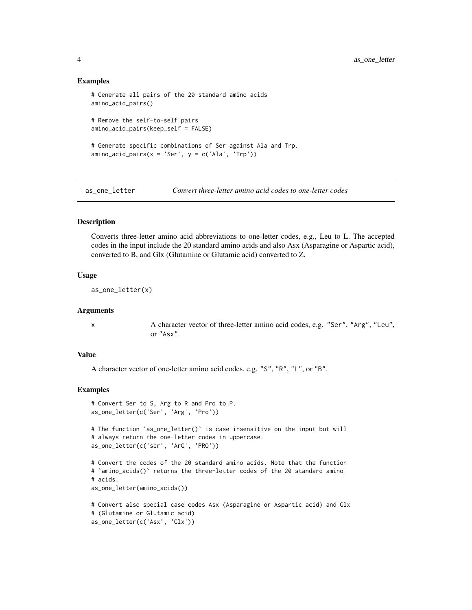#### Examples

```
# Generate all pairs of the 20 standard amino acids
amino_acid_pairs()
# Remove the self-to-self pairs
amino_acid_pairs(keep_self = FALSE)
# Generate specific combinations of Ser against Ala and Trp.
amino\_acid\_pairs(x = 'Ser', y = c('Ala', 'Trp'))
```
as\_one\_letter *Convert three-letter amino acid codes to one-letter codes*

#### **Description**

Converts three-letter amino acid abbreviations to one-letter codes, e.g., Leu to L. The accepted codes in the input include the 20 standard amino acids and also Asx (Asparagine or Aspartic acid), converted to B, and Glx (Glutamine or Glutamic acid) converted to Z.

#### Usage

as\_one\_letter(x)

#### Arguments

x A character vector of three-letter amino acid codes, e.g. "Ser", "Arg", "Leu", or "Asx".

#### Value

A character vector of one-letter amino acid codes, e.g. "S", "R", "L", or "B".

#### Examples

```
# Convert Ser to S, Arg to R and Pro to P.
as_one_letter(c('Ser', 'Arg', 'Pro'))
# The function `as_one_letter()` is case insensitive on the input but will
# always return the one-letter codes in uppercase.
as_one_letter(c('ser', 'ArG', 'PRO'))
```

```
# Convert the codes of the 20 standard amino acids. Note that the function
# `amino_acids()` returns the three-letter codes of the 20 standard amino
# acids.
as_one_letter(amino_acids())
```

```
# Convert also special case codes Asx (Asparagine or Aspartic acid) and Glx
# (Glutamine or Glutamic acid)
as_one_letter(c('Asx', 'Glx'))
```
<span id="page-3-0"></span>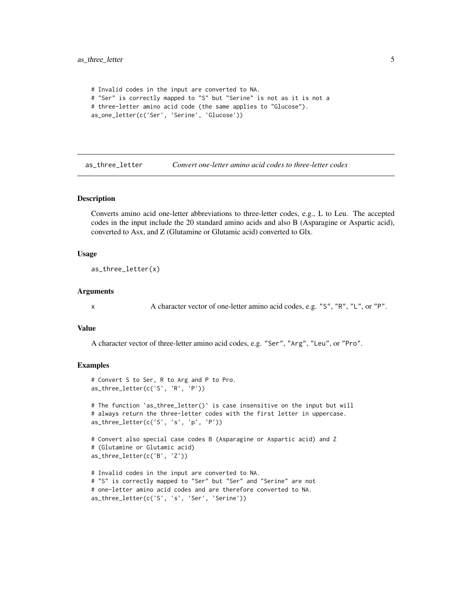```
# Invalid codes in the input are converted to NA.
# "Ser" is correctly mapped to "S" but "Serine" is not as it is not a
# three-letter amino acid code (the same applies to "Glucose").
as_one_letter(c('Ser', 'Serine', 'Glucose'))
```
as\_three\_letter *Convert one-letter amino acid codes to three-letter codes*

#### Description

Converts amino acid one-letter abbreviations to three-letter codes, e.g., L to Leu. The accepted codes in the input include the 20 standard amino acids and also B (Asparagine or Aspartic acid), converted to Asx, and Z (Glutamine or Glutamic acid) converted to Glx.

#### Usage

as\_three\_letter(x)

#### **Arguments**

x A character vector of one-letter amino acid codes, e.g. "S", "R", "L", or "P".

#### Value

A character vector of three-letter amino acid codes, e.g. "Ser", "Arg", "Leu", or "Pro".

#### Examples

```
# Convert S to Ser, R to Arg and P to Pro.
as_three_letter(c('S', 'R', 'P'))
# The function `as_three_letter()` is case insensitive on the input but will
# always return the three-letter codes with the first letter in uppercase.
as_three_letter(c('S', 's', 'p', 'P'))
# Convert also special case codes B (Asparagine or Aspartic acid) and Z
# (Glutamine or Glutamic acid)
as_three_letter(c('B', 'Z'))
# Invalid codes in the input are converted to NA.
# "S" is correctly mapped to "Ser" but "Ser" and "Serine" are not
# one-letter amino acid codes and are therefore converted to NA.
```
as\_three\_letter(c('S', 's', 'Ser', 'Serine'))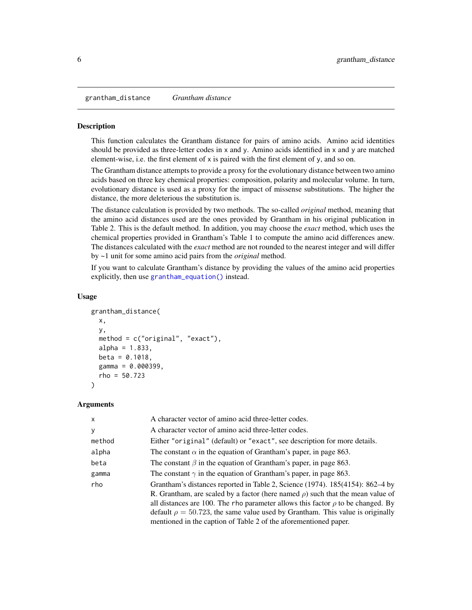<span id="page-5-1"></span><span id="page-5-0"></span>grantham\_distance *Grantham distance*

#### **Description**

This function calculates the Grantham distance for pairs of amino acids. Amino acid identities should be provided as three-letter codes in  $x$  and  $y$ . Amino acids identified in  $x$  and  $y$  are matched element-wise, i.e. the first element of x is paired with the first element of y, and so on.

The Grantham distance attempts to provide a proxy for the evolutionary distance between two amino acids based on three key chemical properties: composition, polarity and molecular volume. In turn, evolutionary distance is used as a proxy for the impact of missense substitutions. The higher the distance, the more deleterious the substitution is.

The distance calculation is provided by two methods. The so-called *original* method, meaning that the amino acid distances used are the ones provided by Grantham in his original publication in Table 2. This is the default method. In addition, you may choose the *exact* method, which uses the chemical properties provided in Grantham's Table 1 to compute the amino acid differences anew. The distances calculated with the *exact* method are not rounded to the nearest integer and will differ by ~1 unit for some amino acid pairs from the *original* method.

If you want to calculate Grantham's distance by providing the values of the amino acid properties explicitly, then use [grantham\\_equation\(\)](#page-7-1) instead.

#### Usage

```
grantham_distance(
  x,
 y,
 method = c("original", "exact"),
  alpha = 1.833,beta = 0.1018,
  gamma = 0.000399,
  rho = 50.723\lambda
```
#### Arguments

| A character vector of amino acid three-letter codes.                                                                                                                                                                                                                                                                                                                                                                     |
|--------------------------------------------------------------------------------------------------------------------------------------------------------------------------------------------------------------------------------------------------------------------------------------------------------------------------------------------------------------------------------------------------------------------------|
| A character vector of amino acid three-letter codes.                                                                                                                                                                                                                                                                                                                                                                     |
| Either "original" (default) or "exact", see description for more details.                                                                                                                                                                                                                                                                                                                                                |
| The constant $\alpha$ in the equation of Grantham's paper, in page 863.                                                                                                                                                                                                                                                                                                                                                  |
| The constant $\beta$ in the equation of Grantham's paper, in page 863.                                                                                                                                                                                                                                                                                                                                                   |
| The constant $\gamma$ in the equation of Grantham's paper, in page 863.                                                                                                                                                                                                                                                                                                                                                  |
| Grantham's distances reported in Table 2, Science (1974). 185(4154): 862–4 by<br>R. Grantham, are scaled by a factor (here named $\rho$ ) such that the mean value of<br>all distances are 100. The rho parameter allows this factor $\rho$ to be changed. By<br>default $\rho = 50.723$ , the same value used by Grantham. This value is originally<br>mentioned in the caption of Table 2 of the aforementioned paper. |
|                                                                                                                                                                                                                                                                                                                                                                                                                          |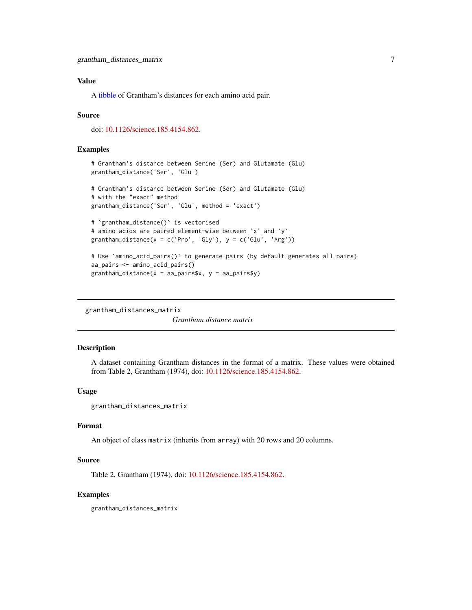### <span id="page-6-0"></span>Value

A [tibble](#page-0-0) of Grantham's distances for each amino acid pair.

#### Source

doi: [10.1126/science.185.4154.862.](https://doi.org/10.1126/science.185.4154.862)

#### Examples

```
# Grantham's distance between Serine (Ser) and Glutamate (Glu)
grantham_distance('Ser', 'Glu')
# Grantham's distance between Serine (Ser) and Glutamate (Glu)
# with the "exact" method
grantham_distance('Ser', 'Glu', method = 'exact')
# `grantham_distance()` is vectorised
# amino acids are paired element-wise between `x` and `y`
```

```
grantham_distance(x = c('Pro', 'Gly'), y = c('Glu', 'Arg'))# Use `amino_acid_pairs()` to generate pairs (by default generates all pairs)
```

```
aa_pairs <- amino_acid_pairs()
grantham\_distance(x = aa\_pairs(x, y = aa\_pairs(y))
```
grantham\_distances\_matrix

*Grantham distance matrix*

### Description

A dataset containing Grantham distances in the format of a matrix. These values were obtained from Table 2, Grantham (1974), doi: [10.1126/science.185.4154.862.](https://doi.org/10.1126/science.185.4154.862)

#### Usage

```
grantham_distances_matrix
```
### Format

An object of class matrix (inherits from array) with 20 rows and 20 columns.

#### Source

Table 2, Grantham (1974), doi: [10.1126/science.185.4154.862.](https://doi.org/10.1126/science.185.4154.862)

#### Examples

grantham\_distances\_matrix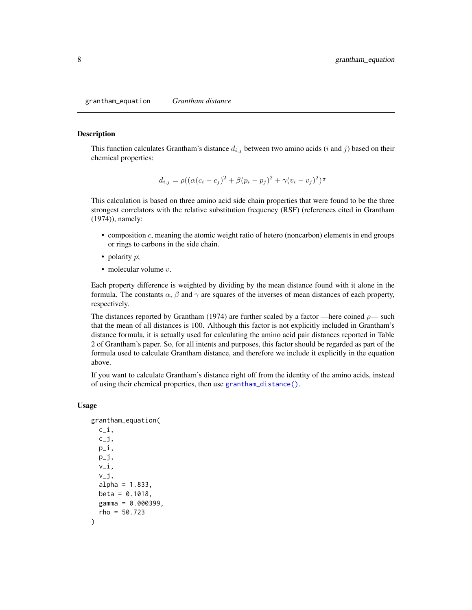<span id="page-7-1"></span><span id="page-7-0"></span>grantham\_equation *Grantham distance*

#### **Description**

This function calculates Grantham's distance  $d_{i,j}$  between two amino acids (*i* and *j*) based on their chemical properties:

$$
d_{i,j} = \rho((\alpha(c_i - c_j)^2 + \beta(p_i - p_j)^2 + \gamma(v_i - v_j)^2)^{\frac{1}{2}}
$$

This calculation is based on three amino acid side chain properties that were found to be the three strongest correlators with the relative substitution frequency (RSF) (references cited in Grantham (1974)), namely:

- $\bullet$  composition  $c$ , meaning the atomic weight ratio of hetero (noncarbon) elements in end groups or rings to carbons in the side chain.
- polarity  $p$ ;
- molecular volume  $v$ .

Each property difference is weighted by dividing by the mean distance found with it alone in the formula. The constants  $\alpha$ ,  $\beta$  and  $\gamma$  are squares of the inverses of mean distances of each property, respectively.

The distances reported by Grantham (1974) are further scaled by a factor —here coined  $\rho$ — such that the mean of all distances is 100. Although this factor is not explicitly included in Grantham's distance formula, it is actually used for calculating the amino acid pair distances reported in Table 2 of Grantham's paper. So, for all intents and purposes, this factor should be regarded as part of the formula used to calculate Grantham distance, and therefore we include it explicitly in the equation above.

If you want to calculate Grantham's distance right off from the identity of the amino acids, instead of using their chemical properties, then use [grantham\\_distance\(\)](#page-5-1).

#### Usage

```
grantham_equation(
  c_i,
  c_j,
  p_i,
 p_j,
  v_i,
  v_j,
  alpha = 1.833,
 beta = 0.1018,
  gamma = 0.000399,
  rho = 50.723
)
```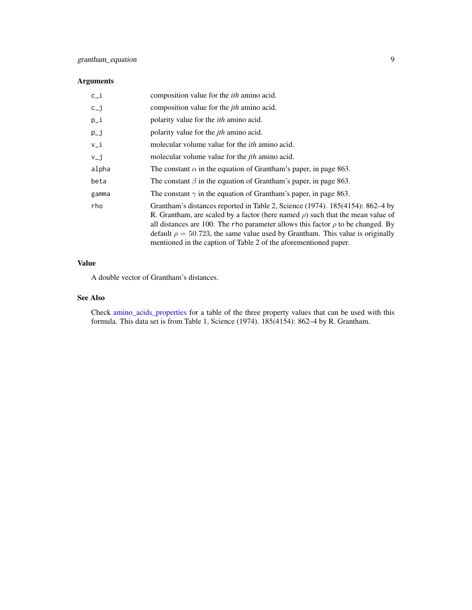# <span id="page-8-0"></span>Arguments

| $c_i$    | composition value for the <i>ith</i> amino acid.                                                                                                                                                                                                                                                                                                                                                                         |
|----------|--------------------------------------------------------------------------------------------------------------------------------------------------------------------------------------------------------------------------------------------------------------------------------------------------------------------------------------------------------------------------------------------------------------------------|
| $c_{-}j$ | composition value for the <i>ith</i> amino acid.                                                                                                                                                                                                                                                                                                                                                                         |
| $p_i$    | polarity value for the <i>ith</i> amino acid.                                                                                                                                                                                                                                                                                                                                                                            |
| $p_{-}j$ | polarity value for the <i>jth</i> amino acid.                                                                                                                                                                                                                                                                                                                                                                            |
| $v_i$    | molecular volume value for the <i>ith</i> amino acid.                                                                                                                                                                                                                                                                                                                                                                    |
| $V_{-}j$ | molecular volume value for the <i>jth</i> amino acid.                                                                                                                                                                                                                                                                                                                                                                    |
| alpha    | The constant $\alpha$ in the equation of Grantham's paper, in page 863.                                                                                                                                                                                                                                                                                                                                                  |
| beta     | The constant $\beta$ in the equation of Grantham's paper, in page 863.                                                                                                                                                                                                                                                                                                                                                   |
| gamma    | The constant $\gamma$ in the equation of Grantham's paper, in page 863.                                                                                                                                                                                                                                                                                                                                                  |
| rho      | Grantham's distances reported in Table 2, Science (1974). 185(4154): 862–4 by<br>R. Grantham, are scaled by a factor (here named $\rho$ ) such that the mean value of<br>all distances are 100. The rho parameter allows this factor $\rho$ to be changed. By<br>default $\rho = 50.723$ , the same value used by Grantham. This value is originally<br>mentioned in the caption of Table 2 of the aforementioned paper. |

# Value

A double vector of Grantham's distances.

# See Also

Check [amino\\_acids\\_properties](#page-1-1) for a table of the three property values that can be used with this formula. This data set is from Table 1, Science (1974). 185(4154): 862–4 by R. Grantham.